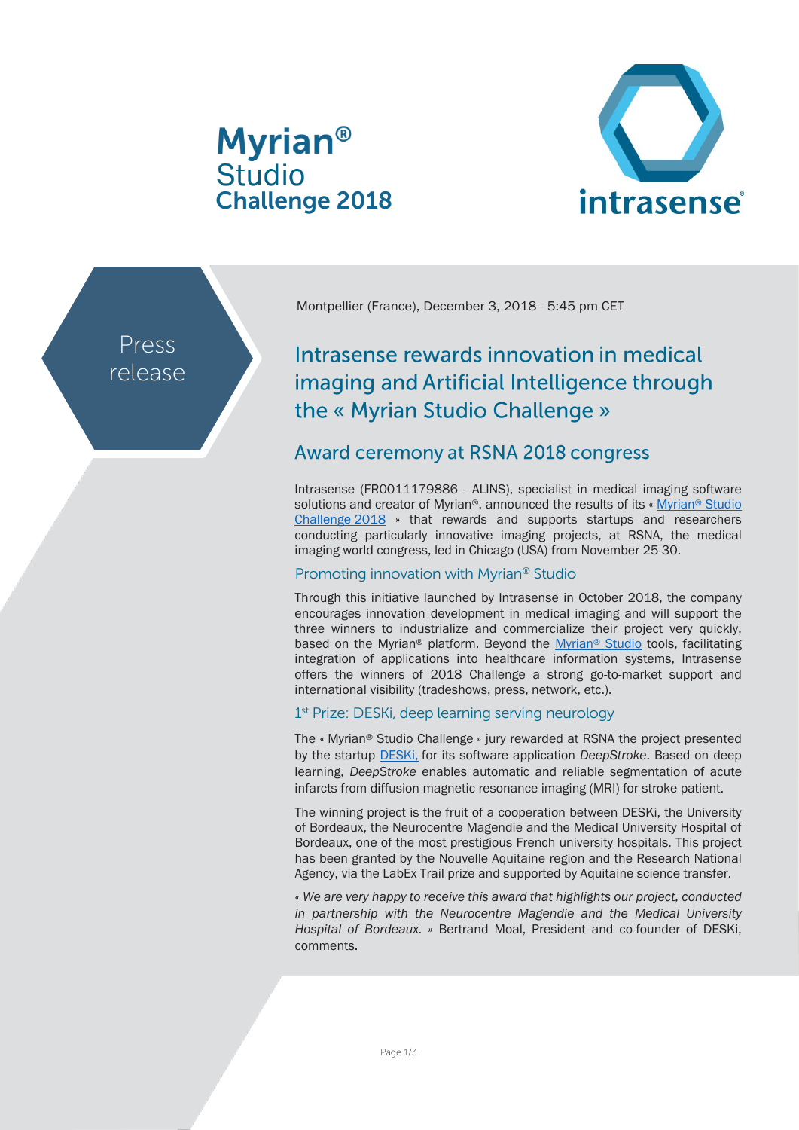# **Myrian<sup>®</sup> Studio** Challenge 2018



Press release Montpellier (France), December 3, 2018 - 5:45 pm CET

## Intrasense rewards innovation in medical imaging and Artificial Intelligence through the « Myrian Studio Challenge »

### Award ceremony at RSNA 2018 congress

Intrasense (FR0011179886 - ALINS), specialist in medical imaging software solutions and creator of Myrian®, announced the results of its « Myrian® Studio [Challenge](http://studio.myrian.fr/challenge/) 2018 » that rewards and supports startups and researchers conducting particularly innovative imaging projects, at RSNA, the medical imaging world congress, led in Chicago (USA) from November 25-30.

#### Promoting innovation with Myrian® Studio

Through this initiative launched by Intrasense in October 2018, the company encourages innovation development in medical imaging and will support the three winners to industrialize and commercialize their project very quickly, based on the Myrian® platform. Beyond the [Myrian](http://www.intrasense.fr/myrian-studio/)® Studio tools, facilitating integration of applications into healthcare information systems, Intrasense offers the winners of 2018 Challenge a strong go-to-market support and international visibility (tradeshows, press, network, etc.).

#### 1<sup>st</sup> Prize: DESKi, deep learning serving neurology

The « Myrian® Studio Challenge » jury rewarded at RSNA the project presented by the startup [DESKi,](http://deski.io/) for its software application *DeepStroke*. Based on deep learning, *DeepStroke* enables automatic and reliable segmentation of acute infarcts from diffusion magnetic resonance imaging (MRI) for stroke patient.

The winning project is the fruit of a cooperation between DESKi, the University of Bordeaux, the Neurocentre Magendie and the Medical University Hospital of Bordeaux, one of the most prestigious French university hospitals. This project has been granted by the Nouvelle Aquitaine region and the Research National Agency, via the LabEx Trail prize and supported by Aquitaine science transfer.

*« We are very happy to receive this award that highlights our project, conducted in partnership with the Neurocentre Magendie and the Medical University Hospital of Bordeaux. »* Bertrand Moal, President and co-founder of DESKi, comments.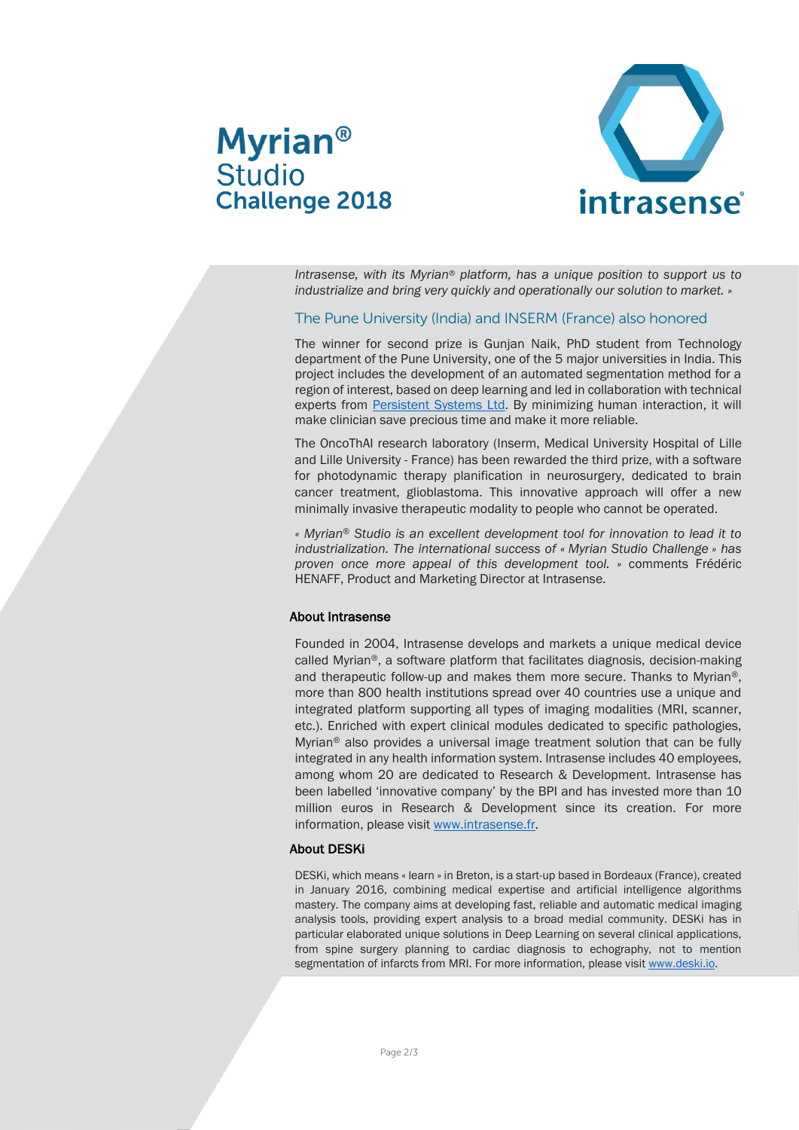



*Intrasense, with its Myrian® platform, has a unique position to support us to industrialize and bring very quickly and operationally our solution to market. »*

#### The Pune University (India) and INSERM (France) also honored

The winner for second prize is Gunjan Naik, PhD student from Technology department of the Pune University, one of the 5 major universities in India. This project includes the development of an automated segmentation method for a region of interest, based on deep learning and led in collaboration with technical experts from [Persistent Systems Ltd.](https://www.persistent.com/) By minimizing human interaction, it will make clinician save precious time and make it more reliable.

The OncoThAI research laboratory (Inserm, Medical University Hospital of Lille and Lille University - France) has been rewarded the third prize, with a software for photodynamic therapy planification in neurosurgery, dedicated to brain cancer treatment, glioblastoma. This innovative approach will offer a new minimally invasive therapeutic modality to people who cannot be operated.

*« Myrian*® *Studio is an excellent development tool for innovation to lead it to industrialization. The international success of « Myrian Studio Challenge » has proven once more appeal of this development tool. »* comments Frédéric HENAFF, Product and Marketing Director at Intrasense.

#### About Intrasense

Founded in 2004, Intrasense develops and markets a unique medical device called Myrian®, a software platform that facilitates diagnosis, decision-making and therapeutic follow-up and makes them more secure. Thanks to Myrian®, more than 800 health institutions spread over 40 countries use a unique and integrated platform supporting all types of imaging modalities (MRI, scanner, etc.). Enriched with expert clinical modules dedicated to specific pathologies, Myrian® also provides a universal image treatment solution that can be fully integrated in any health information system. Intrasense includes 40 employees, among whom 20 are dedicated to Research & Development. Intrasense has been labelled 'innovative company' by the BPI and has invested more than 10 million euros in Research & Development since its creation. For more information, please visit [www.intrasense.fr.](http://www.intrasense.fr/)

#### About DESKi

DESKi, which means « learn » in Breton, is a start-up based in Bordeaux (France), created in January 2016, combining medical expertise and artificial intelligence algorithms mastery. The company aims at developing fast, reliable and automatic medical imaging analysis tools, providing expert analysis to a broad medial community. DESKi has in particular elaborated unique solutions in Deep Learning on several clinical applications, from spine surgery planning to cardiac diagnosis to echography, not to mention segmentation of infarcts from MRI. For more information, please visi[t www.deski.io.](http://www.deski.io/)